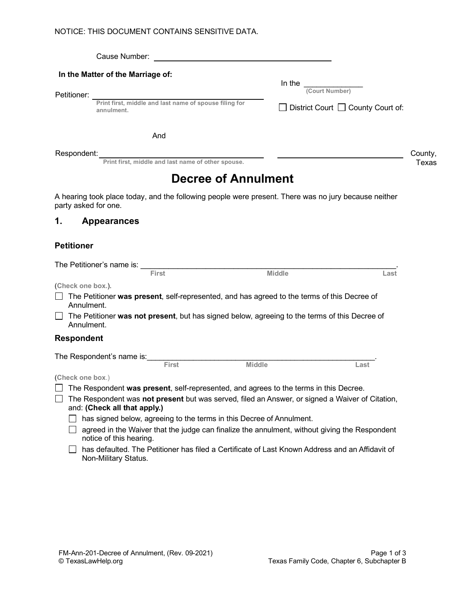|             | Cause Number:                                                        |                                               |         |
|-------------|----------------------------------------------------------------------|-----------------------------------------------|---------|
| Petitioner: | In the Matter of the Marriage of:                                    | In the<br>(Court Number)                      |         |
|             | Print first, middle and last name of spouse filing for<br>annulment. | $\Box$ District Court $\Box$ County Court of: |         |
|             | And                                                                  |                                               |         |
| Respondent: |                                                                      |                                               | County, |

**Print first, middle and last name of other spouse.** The space of the spouse of the space of the space of the space of the space of the space of the space of the space of the space of the space of the space of the space of

# **Decree of Annulment**

A hearing took place today, and the following people were present. There was no jury because neither party asked for one.

#### **1. Appearances**

#### **Petitioner**

|                                                                                                                                 | The Petitioner's name is:                                                                                                |               |      |  |  |  |  |
|---------------------------------------------------------------------------------------------------------------------------------|--------------------------------------------------------------------------------------------------------------------------|---------------|------|--|--|--|--|
|                                                                                                                                 | <b>First</b>                                                                                                             | <b>Middle</b> | Last |  |  |  |  |
|                                                                                                                                 | (Check one box.).                                                                                                        |               |      |  |  |  |  |
|                                                                                                                                 | The Petitioner was present, self-represented, and has agreed to the terms of this Decree of<br>Annulment.                |               |      |  |  |  |  |
|                                                                                                                                 | The Petitioner was not present, but has signed below, agreeing to the terms of this Decree of<br>Annulment.              |               |      |  |  |  |  |
|                                                                                                                                 | <b>Respondent</b>                                                                                                        |               |      |  |  |  |  |
| The Respondent's name is:                                                                                                       |                                                                                                                          |               |      |  |  |  |  |
|                                                                                                                                 | <b>First</b>                                                                                                             | <b>Middle</b> | Last |  |  |  |  |
|                                                                                                                                 | (Check one box.)                                                                                                         |               |      |  |  |  |  |
|                                                                                                                                 | The Respondent was present, self-represented, and agrees to the terms in this Decree.                                    |               |      |  |  |  |  |
| The Respondent was not present but was served, filed an Answer, or signed a Waiver of Citation,<br>and: (Check all that apply.) |                                                                                                                          |               |      |  |  |  |  |
|                                                                                                                                 | has signed below, agreeing to the terms in this Decree of Annulment.                                                     |               |      |  |  |  |  |
|                                                                                                                                 | agreed in the Waiver that the judge can finalize the annulment, without giving the Respondent<br>notice of this hearing. |               |      |  |  |  |  |

□ has defaulted. The Petitioner has filed a Certificate of Last Known Address and an Affidavit of Non-Military Status.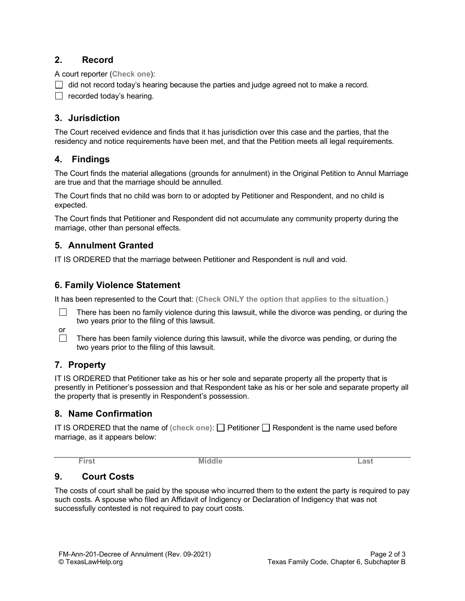#### **2. Record**

A court reporter (**Check one**):

 $\Box$  did not record today's hearing because the parties and judge agreed not to make a record.

 $\Box$  recorded today's hearing.

# **3. Jurisdiction**

The Court received evidence and finds that it has jurisdiction over this case and the parties, that the residency and notice requirements have been met, and that the Petition meets all legal requirements.

### **4. Findings**

The Court finds the material allegations (grounds for annulment) in the Original Petition to Annul Marriage are true and that the marriage should be annulled.

The Court finds that no child was born to or adopted by Petitioner and Respondent, and no child is expected.

The Court finds that Petitioner and Respondent did not accumulate any community property during the marriage, other than personal effects.

### **5. Annulment Granted**

IT IS ORDERED that the marriage between Petitioner and Respondent is null and void.

### **6. Family Violence Statement**

It has been represented to the Court that: **(Check ONLY the option that applies to the situation.)**

П There has been no family violence during this lawsuit, while the divorce was pending, or during the two years prior to the filing of this lawsuit.



There has been family violence during this lawsuit, while the divorce was pending, or during the two years prior to the filing of this lawsuit.

# **7. Property**

IT IS ORDERED that Petitioner take as his or her sole and separate property all the property that is presently in Petitioner's possession and that Respondent take as his or her sole and separate property all the property that is presently in Respondent's possession.

#### **8. Name Confirmation**

IT IS ORDERED that the name of (check one):  $\Box$  Petitioner  $\Box$  Respondent is the name used before marriage, as it appears below:

**First Middle Last** 

# **9. Court Costs**

The costs of court shall be paid by the spouse who incurred them to the extent the party is required to pay such costs. A spouse who filed an Affidavit of Indigency or Declaration of Indigency that was not successfully contested is not required to pay court costs.